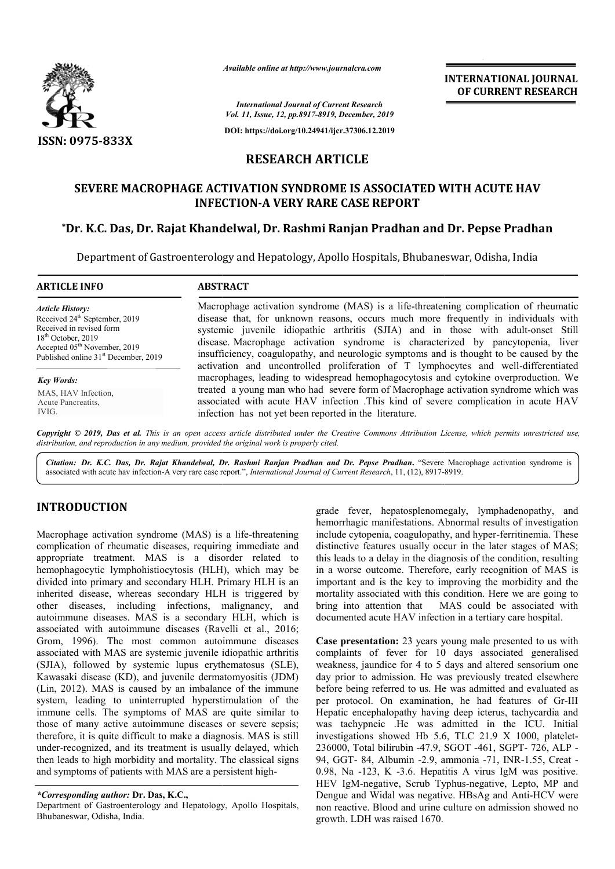

*Available online at http://www.journalcra.com*

**INTERNATIONAL JOURNAL OF CURRENT RESEARCH**

*International Journal of Current Research Vol. 11, Issue, 12, pp.8917-8919, December, 2019*

**DOI: https://doi.org/10.24941/ijcr.37306.12.2019**

# **RESEARCH ARTICLE**

# **SEVERE MACROPHAGE ACTIVATION SYNDROME IS ASSOCIATED WITH ACUTE HAV INFECTION INFECTION-A VERY RARE CASE REPORT**

## **\*Dr. K.C. Das, Dr. Rajat Khandelwal Khandelwal, Dr. Rashmi Ranjan Pradhan and Dr. Pepse Pradhan Ranjan Pradhan and**

Department of Gastroenterology and Hepatology, Apollo Hospitals, Bhubaneswar, Odisha, India

| <b>ARTICLE INFO</b>                              | <b>ABSTRACT</b>                                                                         |  |  |  |  |  |
|--------------------------------------------------|-----------------------------------------------------------------------------------------|--|--|--|--|--|
| <b>Article History:</b>                          | Macrophage activation syndrome (MAS) is a life-threatening complication of rheumatic    |  |  |  |  |  |
| Received 24 <sup>th</sup> September, 2019        | disease that, for unknown reasons, occurs much more frequently in individuals with      |  |  |  |  |  |
| Received in revised form                         | systemic juvenile idiopathic arthritis (SJIA) and in those with adult-onset Still       |  |  |  |  |  |
| $18th$ October, 2019                             | disease. Macrophage activation syndrome is characterized by pancytopenia, liver         |  |  |  |  |  |
| Accepted 05 <sup>th</sup> November, 2019         | insufficiency, coagulopathy, and neurologic symptoms and is thought to be caused by the |  |  |  |  |  |
| Published online 31 <sup>st</sup> December, 2019 | activation and uncontrolled proliferation of T lymphocytes and well-differentiated      |  |  |  |  |  |
| <b>Key Words:</b>                                | macrophages, leading to widespread hemophagocytosis and cytokine overproduction. We     |  |  |  |  |  |
| MAS, HAV Infection,                              | treated a young man who had severe form of Macrophage activation syndrome which was     |  |  |  |  |  |
| Acute Pancreatits,                               | associated with acute HAV infection .This kind of severe complication in acute HAV      |  |  |  |  |  |
| IVIG.                                            | infection has not vet been reported in the literature.                                  |  |  |  |  |  |

Copyright © 2019, Das et al. This is an open access article distributed under the Creative Commons Attribution License, which permits unrestricted use, *distribution, and reproduction in any medium, provided the original work is properly cited.*

Citation: Dr. K.C. Das, Dr. Rajat Khandelwal, Dr. Rashmi Ranjan Pradhan and Dr. Pepse Pradhan. "Severe Macrophage activation syndrome is associated with acute hav infection-A very rare case report.", *International Journal* associated with acute hav infection-A very rare case report.", *International Journal of Current Research*, 11, (12), 8917-

### **INTRODUCTION**

Macrophage activation syndrome (MAS) is a life-threatening complication of rheumatic diseases, requiring immediate and appropriate treatment. MAS is a disorder related to hemophagocytic lymphohistiocytosis (HLH), which may be divided into primary and secondary HLH. Primary HLH is an inherited disease, whereas secondary HLH is triggered by other diseases, including infections, malignancy, and autoimmune diseases. MAS is a secondary HLH, which is associated with autoimmune diseases (Ravelli et al., 2016; Grom, 1996). The most common autoimmune diseases associated with MAS are systemic juvenile idiopathic arthritis (SJIA), followed by systemic lupus erythematosus (SLE), Kawasaki disease (KD), and juvenile dermatomyositis (JDM) (Lin, 2012). MAS is caused by an imbalance of the immune system, leading to uninterrupted hyperstimulation of the immune cells. The symptoms of MAS are quite similar to those of many active autoimmune diseases or severe sepsis; therefore, it is quite difficult to make a diagnosis. MAS is still under-recognized, and its treatment is usually delayed, which then leads to high morbidity and mortality. The classical signs and symptoms of patients with MAS are a persistent high mic juvenile idiopathic arthritis<br>c lupus erythematosus (SLE),<br>wenile dermatomyositis (JDM)<br>y an imbalance of the immune<br>pted hyperstimulation of the -recognized, and its treatment is usually delayed, veads to high morbidity and mortality. The classical<br>ymptoms of patients with MAS are a persistent high-

Department of Gastroenterology and Hepatology, Apollo Hospitals, Bhubaneswar, Odisha, India.

grade fever, hepatosplenomegaly, lymphadenopathy, and hemorrhagic manifestations. Abnormal results of investigation grade fever, hepatosplenomegaly, lymphadenopathy, and hemorrhagic manifestations. Abnormal results of investigation include cytopenia, coagulopathy, and hyper-ferritinemia. These distinctive features usually occur in the later stages of MAS; this leads to a delay in the diagnosis of the condition, resulting in a worse outcome. Therefore, early recognition of MAS is important and is the key to improving the morbidity and the mortality associated with this condition. Here we are going to bring into attention that MAS could be associated with documented acute HAV infection in a tertiary care hospital. features usually occur in the later stages of MAS;<br>eads to a delay in the diagnosis of the condition, resulting<br>worse outcome. Therefore, early recognition of MAS is<br>rtant and is the key to improving the morbidity and the<br>

**Case presentation:** 23 years young male presented to us with complaints of fever for 10 days associated generalised weakness, jaundice for 4 to 5 days and altered sensorium one day prior to admission. He was previously treated elsewhere before being referred to us. He was admitted and evaluated as before being referred to us. He was admitted and evaluated as<br>per protocol. On examination, he had features of Gr-III Hepatic encephalopathy having deep icterus, tachycardia and was tachypneic .He was admitted in the ICU. Initial Hepatic encephalopathy having deep icterus, tachycardia and was tachypneic .He was admitted in the ICU. Initial investigations showed Hb 5.6, TLC 21.9 X 1000, platelet-236000, Total bilirubin -47.9, SGOT 47.9, SGOT -461, SGPT- 726, ALP - 94, GGT- 84, Albumin -2.9, ammonia 2.9, ammonia -71, INR-1.55, Creat - 0.98, Na -123, K -3.6. Hepatitis A 3.6. A virus IgM was positive. HEV IgM-negative, Scrub Typhus-negative, Lepto, MP and Dengue and Widal was negative. HBsAg and Anti-HCV were non reactive. Blood and urine culture on admission showed no growth. LDH was raised 1670. **INTERNATIONAL JOURNAL CONSUMMELY (CONSUMMELY CONSUMMELY CONSUMMELY (CONSUMMELY CONSUMMELY CONSUMMELY ARRESEARCH (CONSUMMELY ARRESEARCH AND AND A DESCRET CONSUMMELY AND A CONSUMMELY ARRE CASE REPORT IN A RAIGH CASE REPORT** 

*<sup>\*</sup>Corresponding author:* **Dr. Das, K.C.,**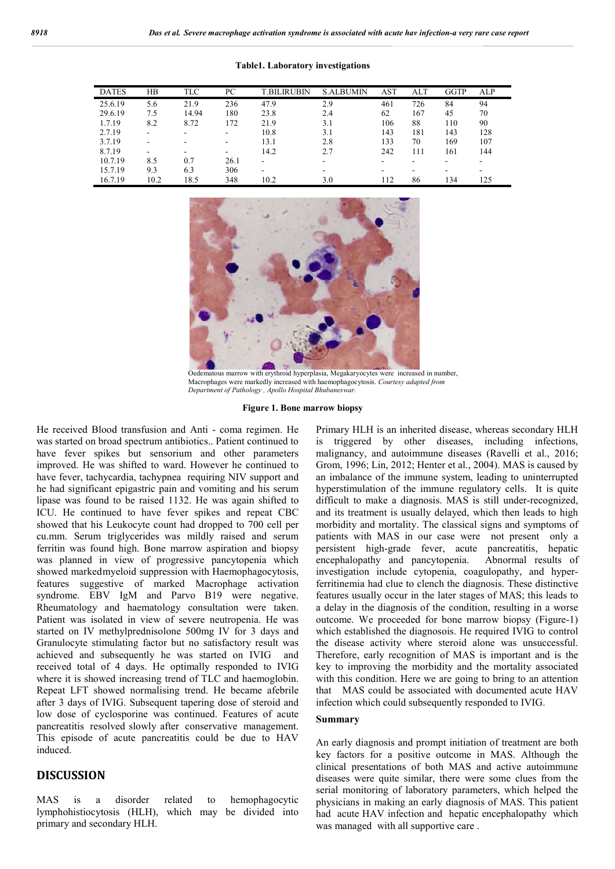| <b>DATES</b> | HB   | <b>TLC</b> | PС   | T.BILIRUBIN | <b>S.ALBUMIN</b> | <b>AST</b> | ALT | <b>GGTP</b> | ALP |
|--------------|------|------------|------|-------------|------------------|------------|-----|-------------|-----|
| 25.6.19      | 5.6  | 21.9       | 236  | 47.9        | 2.9              | 461        | 726 | 84          | 94  |
| 29.6.19      | 7.5  | 14.94      | 180  | 23.8        | 2.4              | 62         | 167 | 45          | 70  |
| 1.7.19       | 8.2  | 8.72       | 172  | 21.9        | 3.1              | 106        | 88  | 110         | 90  |
| 2.7.19       | ۰    |            |      | 10.8        | 3.1              | 143        | 181 | 143         | 128 |
| 3.7.19       | -    | -          |      | 13.1        | 2.8              | 133        | 70  | 169         | 107 |
| 8.7.19       | -    | -          | -    | 14.2        | 2.7              | 242        | 111 | 161         | 144 |
| 10.7.19      | 8.5  | 0.7        | 26.1 | ۰           | ۰.               |            |     |             |     |
| 15.7.19      | 9.3  | 6.3        | 306  | ۰           |                  |            | ۰   | ۰           | -   |
| 16.7.19      | 10.2 | 18.5       | 348  | 10.2        | 3.0              | 112        | 86  | 134         | 125 |

**Table1. Laboratory investigations**



Oedematous marrow with erythroid hyperplasia, Megakaryocytes were increased in number, Macrophages were markedly increased with haemophagocytosis. *Courtesy adapted from Department of Pathology , Apollo Hospital Bhubaneswar.* 

#### **Figure 1. Bone marrow biopsy**

He received Blood transfusion and Anti - coma regimen. He was started on broad spectrum antibiotics.. Patient continued to have fever spikes but sensorium and other parameters improved. He was shifted to ward. However he continued to have fever, tachycardia, tachypnea requiring NIV support and he had significant epigastric pain and vomiting and his serum lipase was found to be raised 1132. He was again shifted to ICU. He continued to have fever spikes and repeat CBC showed that his Leukocyte count had dropped to 700 cell per cu.mm. Serum triglycerides was mildly raised and serum ferritin was found high. Bone marrow aspiration and biopsy was planned in view of progressive pancytopenia which showed markedmyeloid suppression with Haemophagocytosis, features suggestive of marked Macrophage activation syndrome. EBV IgM and Parvo B19 were negative. Rheumatology and haematology consultation were taken. Patient was isolated in view of severe neutropenia. He was started on IV methylprednisolone 500mg IV for 3 days and Granulocyte stimulating factor but no satisfactory result was achieved and subsequently he was started on IVIG and received total of 4 days. He optimally responded to IVIG where it is showed increasing trend of TLC and haemoglobin. Repeat LFT showed normalising trend. He became afebrile after 3 days of IVIG. Subsequent tapering dose of steroid and low dose of cyclosporine was continued. Features of acute pancreatitis resolved slowly after conservative management. This episode of acute pancreatitis could be due to HAV induced.

### **DISCUSSION**

MAS is a disorder related to hemophagocytic lymphohistiocytosis (HLH), which may be divided into primary and secondary HLH.

Primary HLH is an inherited disease, whereas secondary HLH is triggered by other diseases, including infections, malignancy, and autoimmune diseases (Ravelli et al., 2016; Grom, 1996; Lin, 2012; Henter et al., 2004). MAS is caused by an imbalance of the immune system, leading to uninterrupted hyperstimulation of the immune regulatory cells. It is quite difficult to make a diagnosis. MAS is still under-recognized, and its treatment is usually delayed, which then leads to high morbidity and mortality. The classical signs and symptoms of patients with MAS in our case were not present only a persistent high-grade fever, acute pancreatitis, hepatic encephalopathy and pancytopenia. Abnormal results of investigation include cytopenia, coagulopathy, and hyperferritinemia had clue to clench the diagnosis. These distinctive features usually occur in the later stages of MAS; this leads to a delay in the diagnosis of the condition, resulting in a worse outcome. We proceeded for bone marrow biopsy (Figure-1) which established the diagnosois. He required IVIG to control the disease activity where steroid alone was unsuccessful. Therefore, early recognition of MAS is important and is the key to improving the morbidity and the mortality associated with this condition. Here we are going to bring to an attention that MAS could be associated with documented acute HAV infection which could subsequently responded to IVIG.

### **Summary**

An early diagnosis and prompt initiation of treatment are both key factors for a positive outcome in MAS. Although the clinical presentations of both MAS and active autoimmune diseases were quite similar, there were some clues from the serial monitoring of laboratory parameters, which helped the physicians in making an early diagnosis of MAS. This patient had acute HAV infection and hepatic encephalopathy which was managed with all supportive care .